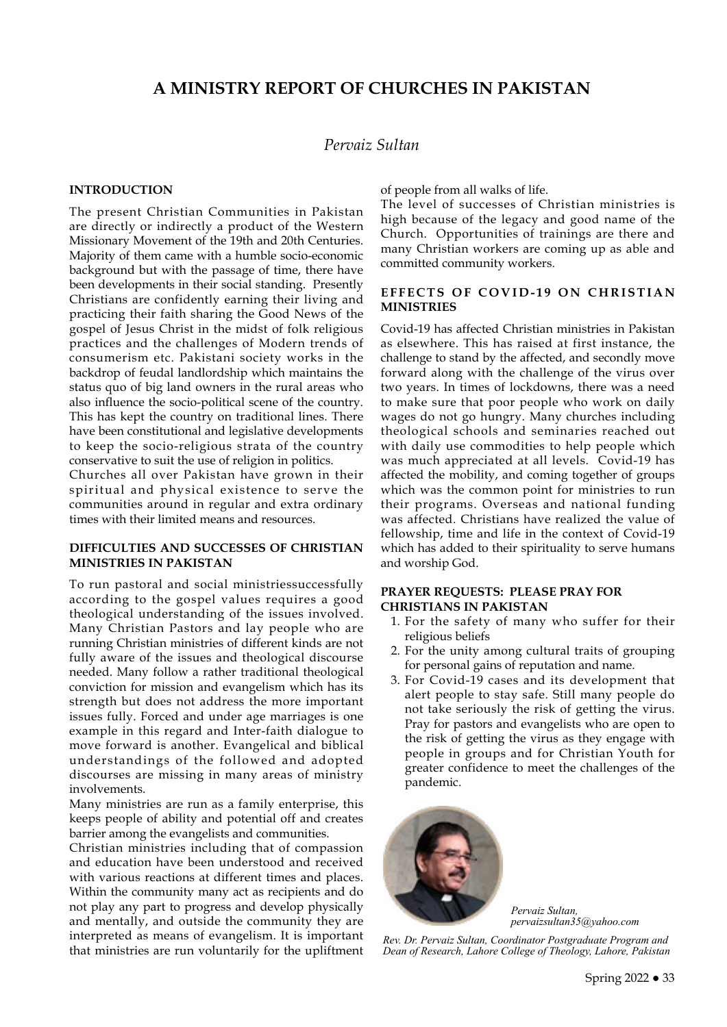# **A MINISTRY REPORT OF CHURCHES IN PAKISTAN**

# *Pervaiz Sultan*

#### **INTRODUCTION**

The present Christian Communities in Pakistan are directly or indirectly a product of the Western Missionary Movement of the 19th and 20th Centuries. Majority of them came with a humble socio-economic background but with the passage of time, there have been developments in their social standing. Presently Christians are confidently earning their living and practicing their faith sharing the Good News of the gospel of Jesus Christ in the midst of folk religious practices and the challenges of Modern trends of consumerism etc. Pakistani society works in the backdrop of feudal landlordship which maintains the status quo of big land owners in the rural areas who also influence the socio-political scene of the country. This has kept the country on traditional lines. There have been constitutional and legislative developments to keep the socio-religious strata of the country conservative to suit the use of religion in politics.

Churches all over Pakistan have grown in their spiritual and physical existence to serve the communities around in regular and extra ordinary times with their limited means and resources.

#### **DIFFICULTIES AND SUCCESSES OF CHRISTIAN MINISTRIES IN PAKISTAN**

To run pastoral and social ministriessuccessfully according to the gospel values requires a good theological understanding of the issues involved. Many Christian Pastors and lay people who are running Christian ministries of different kinds are not fully aware of the issues and theological discourse needed. Many follow a rather traditional theological conviction for mission and evangelism which has its strength but does not address the more important issues fully. Forced and under age marriages is one example in this regard and Inter-faith dialogue to move forward is another. Evangelical and biblical understandings of the followed and adopted discourses are missing in many areas of ministry involvements.

Many ministries are run as a family enterprise, this keeps people of ability and potential off and creates barrier among the evangelists and communities.

Christian ministries including that of compassion and education have been understood and received with various reactions at different times and places. Within the community many act as recipients and do not play any part to progress and develop physically and mentally, and outside the community they are interpreted as means of evangelism. It is important that ministries are run voluntarily for the upliftment

of people from all walks of life.

The level of successes of Christian ministries is high because of the legacy and good name of the Church. Opportunities of trainings are there and many Christian workers are coming up as able and committed community workers.

### **EFFECTS OF COVID-19 ON CHRISTIAN MINISTRIES**

Covid-19 has affected Christian ministries in Pakistan as elsewhere. This has raised at first instance, the challenge to stand by the affected, and secondly move forward along with the challenge of the virus over two years. In times of lockdowns, there was a need to make sure that poor people who work on daily wages do not go hungry. Many churches including theological schools and seminaries reached out with daily use commodities to help people which was much appreciated at all levels. Covid-19 has affected the mobility, and coming together of groups which was the common point for ministries to run their programs. Overseas and national funding was affected. Christians have realized the value of fellowship, time and life in the context of Covid-19 which has added to their spirituality to serve humans and worship God.

### **PRAYER REQUESTS: PLEASE PRAY FOR CHRISTIANS IN PAKISTAN**

- 1. For the safety of many who suffer for their religious beliefs
- 2. For the unity among cultural traits of grouping for personal gains of reputation and name.
- 3. For Covid-19 cases and its development that alert people to stay safe. Still many people do not take seriously the risk of getting the virus. Pray for pastors and evangelists who are open to the risk of getting the virus as they engage with people in groups and for Christian Youth for greater confidence to meet the challenges of the pandemic.



*Pervaiz Sultan, pervaizsultan35@yaho[o.com](mailto:jimoharries@gmail.com)*

*Rev. Dr. Pervaiz Sultan, Coordinator Postgraduate Program and Dean of Research, Lahore College of Theology, Lahore, Pakistan*